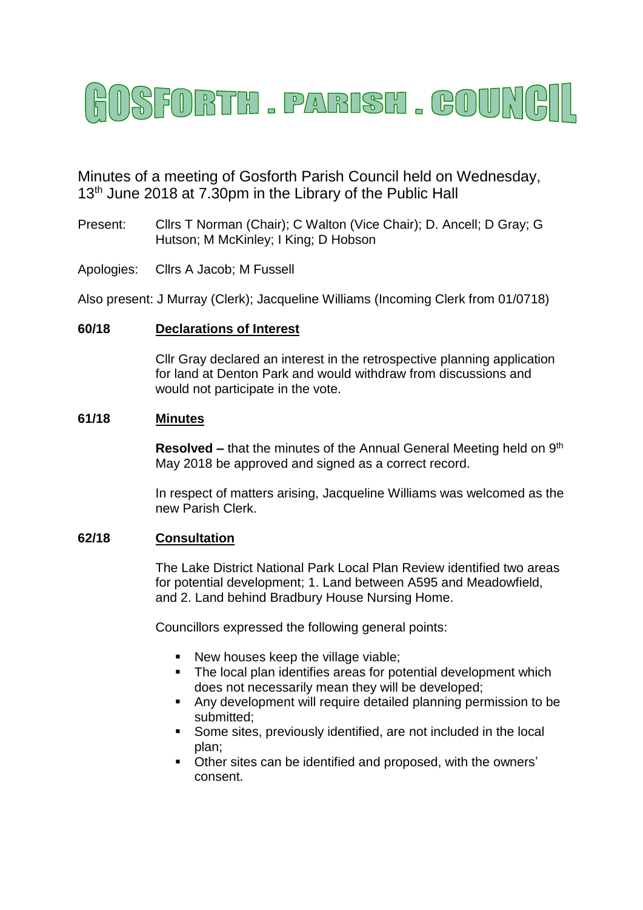

Minutes of a meeting of Gosforth Parish Council held on Wednesday, 13<sup>th</sup> June 2018 at 7.30pm in the Library of the Public Hall

- Present: Cllrs T Norman (Chair); C Walton (Vice Chair); D. Ancell; D Gray; G Hutson; M McKinley; I King; D Hobson
- Apologies: Cllrs A Jacob; M Fussell

Also present: J Murray (Clerk); Jacqueline Williams (Incoming Clerk from 01/0718)

## **60/18 Declarations of Interest**

Cllr Gray declared an interest in the retrospective planning application for land at Denton Park and would withdraw from discussions and would not participate in the vote.

#### **61/18 Minutes**

**Resolved –** that the minutes of the Annual General Meeting held on 9<sup>th</sup> May 2018 be approved and signed as a correct record.

In respect of matters arising, Jacqueline Williams was welcomed as the new Parish Clerk.

## **62/18 Consultation**

The Lake District National Park Local Plan Review identified two areas for potential development; 1. Land between A595 and Meadowfield, and 2. Land behind Bradbury House Nursing Home.

Councillors expressed the following general points:

- New houses keep the village viable:
- The local plan identifies areas for potential development which does not necessarily mean they will be developed;
- Any development will require detailed planning permission to be submitted;
- Some sites, previously identified, are not included in the local plan;
- Other sites can be identified and proposed, with the owners' consent.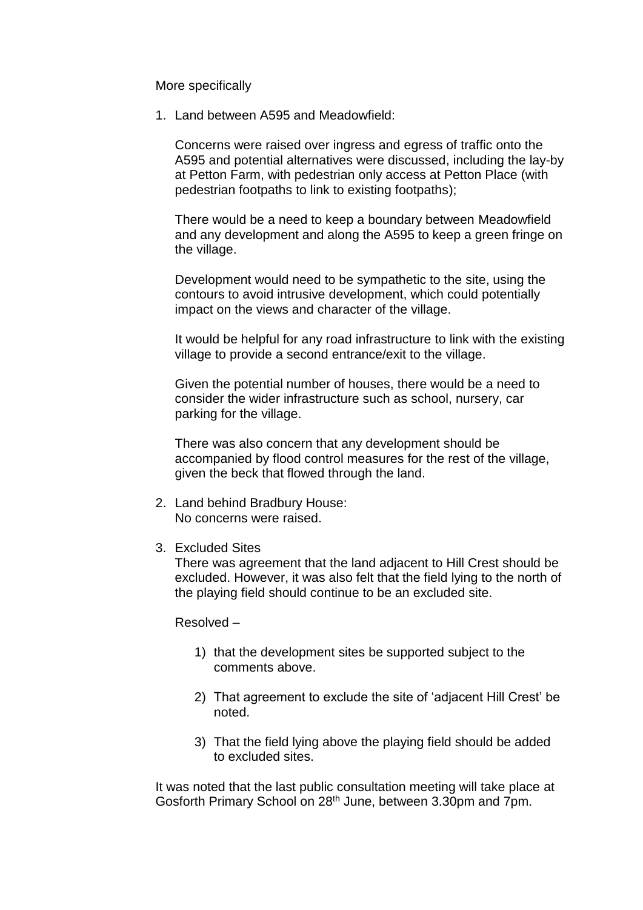More specifically

1. Land between A595 and Meadowfield:

Concerns were raised over ingress and egress of traffic onto the A595 and potential alternatives were discussed, including the lay-by at Petton Farm, with pedestrian only access at Petton Place (with pedestrian footpaths to link to existing footpaths);

There would be a need to keep a boundary between Meadowfield and any development and along the A595 to keep a green fringe on the village.

Development would need to be sympathetic to the site, using the contours to avoid intrusive development, which could potentially impact on the views and character of the village.

It would be helpful for any road infrastructure to link with the existing village to provide a second entrance/exit to the village.

Given the potential number of houses, there would be a need to consider the wider infrastructure such as school, nursery, car parking for the village.

There was also concern that any development should be accompanied by flood control measures for the rest of the village, given the beck that flowed through the land.

- 2. Land behind Bradbury House: No concerns were raised.
- 3. Excluded Sites

There was agreement that the land adjacent to Hill Crest should be excluded. However, it was also felt that the field lying to the north of the playing field should continue to be an excluded site.

Resolved –

- 1) that the development sites be supported subject to the comments above.
- 2) That agreement to exclude the site of 'adjacent Hill Crest' be noted.
- 3) That the field lying above the playing field should be added to excluded sites.

It was noted that the last public consultation meeting will take place at Gosforth Primary School on 28th June, between 3.30pm and 7pm.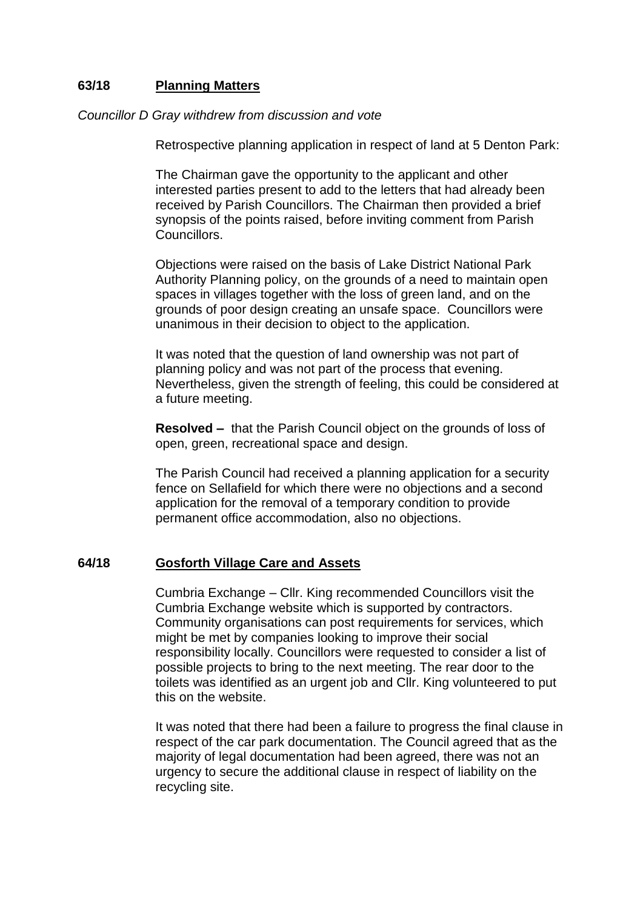# **63/18 Planning Matters**

### *Councillor D Gray withdrew from discussion and vote*

Retrospective planning application in respect of land at 5 Denton Park:

The Chairman gave the opportunity to the applicant and other interested parties present to add to the letters that had already been received by Parish Councillors. The Chairman then provided a brief synopsis of the points raised, before inviting comment from Parish Councillors.

Objections were raised on the basis of Lake District National Park Authority Planning policy, on the grounds of a need to maintain open spaces in villages together with the loss of green land, and on the grounds of poor design creating an unsafe space. Councillors were unanimous in their decision to object to the application.

It was noted that the question of land ownership was not part of planning policy and was not part of the process that evening. Nevertheless, given the strength of feeling, this could be considered at a future meeting.

**Resolved –** that the Parish Council object on the grounds of loss of open, green, recreational space and design.

The Parish Council had received a planning application for a security fence on Sellafield for which there were no objections and a second application for the removal of a temporary condition to provide permanent office accommodation, also no objections.

# **64/18 Gosforth Village Care and Assets**

Cumbria Exchange – Cllr. King recommended Councillors visit the Cumbria Exchange website which is supported by contractors. Community organisations can post requirements for services, which might be met by companies looking to improve their social responsibility locally. Councillors were requested to consider a list of possible projects to bring to the next meeting. The rear door to the toilets was identified as an urgent job and Cllr. King volunteered to put this on the website.

It was noted that there had been a failure to progress the final clause in respect of the car park documentation. The Council agreed that as the majority of legal documentation had been agreed, there was not an urgency to secure the additional clause in respect of liability on the recycling site.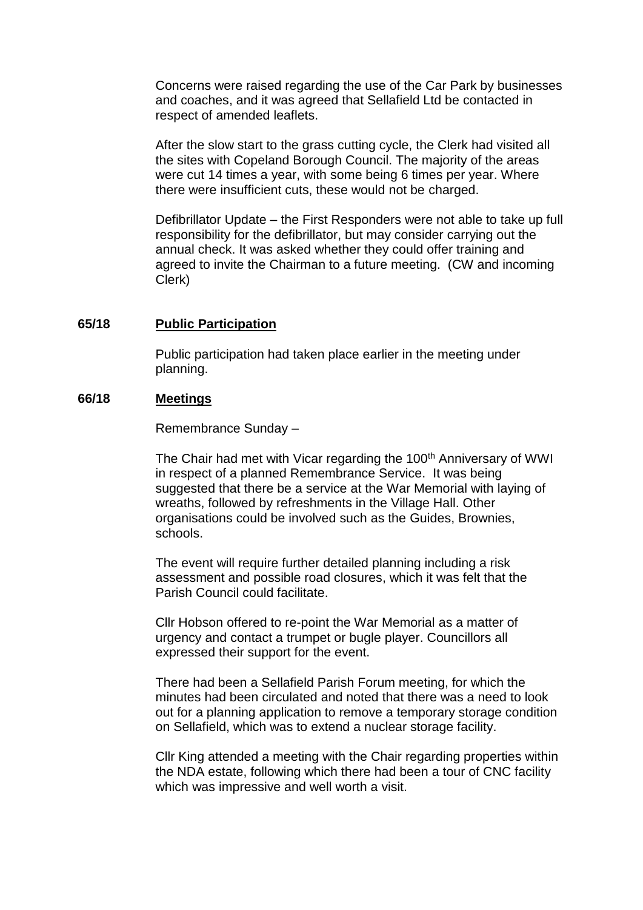Concerns were raised regarding the use of the Car Park by businesses and coaches, and it was agreed that Sellafield Ltd be contacted in respect of amended leaflets.

After the slow start to the grass cutting cycle, the Clerk had visited all the sites with Copeland Borough Council. The majority of the areas were cut 14 times a year, with some being 6 times per year. Where there were insufficient cuts, these would not be charged.

Defibrillator Update – the First Responders were not able to take up full responsibility for the defibrillator, but may consider carrying out the annual check. It was asked whether they could offer training and agreed to invite the Chairman to a future meeting. (CW and incoming Clerk)

### **65/18 Public Participation**

Public participation had taken place earlier in the meeting under planning.

### **66/18 Meetings**

Remembrance Sunday –

The Chair had met with Vicar regarding the 100<sup>th</sup> Anniversary of WWI in respect of a planned Remembrance Service. It was being suggested that there be a service at the War Memorial with laying of wreaths, followed by refreshments in the Village Hall. Other organisations could be involved such as the Guides, Brownies, schools.

The event will require further detailed planning including a risk assessment and possible road closures, which it was felt that the Parish Council could facilitate.

Cllr Hobson offered to re-point the War Memorial as a matter of urgency and contact a trumpet or bugle player. Councillors all expressed their support for the event.

There had been a Sellafield Parish Forum meeting, for which the minutes had been circulated and noted that there was a need to look out for a planning application to remove a temporary storage condition on Sellafield, which was to extend a nuclear storage facility.

Cllr King attended a meeting with the Chair regarding properties within the NDA estate, following which there had been a tour of CNC facility which was impressive and well worth a visit.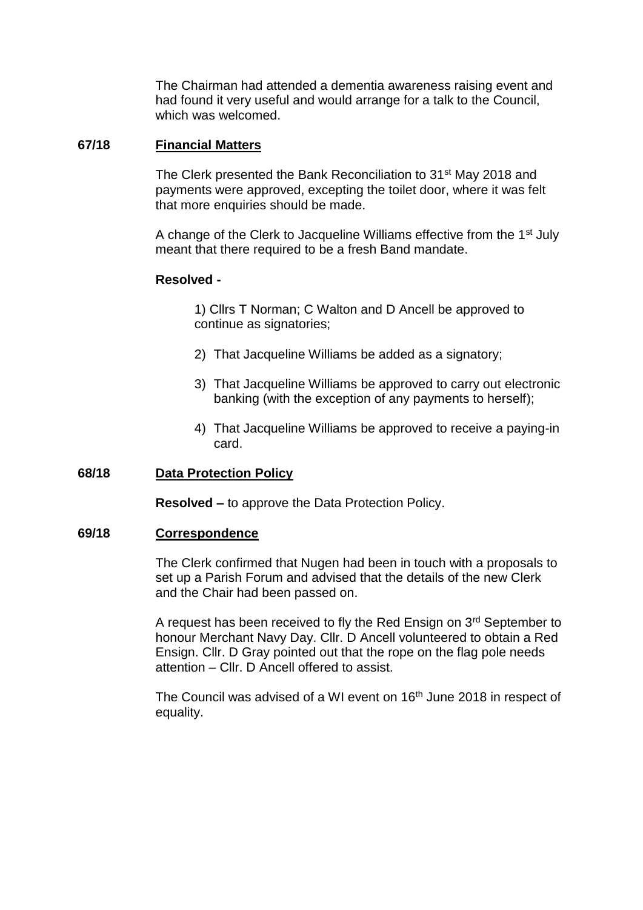The Chairman had attended a dementia awareness raising event and had found it very useful and would arrange for a talk to the Council, which was welcomed.

## **67/18 Financial Matters**

The Clerk presented the Bank Reconciliation to 31st May 2018 and payments were approved, excepting the toilet door, where it was felt that more enquiries should be made.

A change of the Clerk to Jacqueline Williams effective from the 1st July meant that there required to be a fresh Band mandate.

## **Resolved -**

1) Cllrs T Norman; C Walton and D Ancell be approved to continue as signatories;

- 2) That Jacqueline Williams be added as a signatory;
- 3) That Jacqueline Williams be approved to carry out electronic banking (with the exception of any payments to herself);
- 4) That Jacqueline Williams be approved to receive a paying-in card.

## **68/18 Data Protection Policy**

**Resolved –** to approve the Data Protection Policy.

### **69/18 Correspondence**

The Clerk confirmed that Nugen had been in touch with a proposals to set up a Parish Forum and advised that the details of the new Clerk and the Chair had been passed on.

A request has been received to fly the Red Ensign on 3<sup>rd</sup> September to honour Merchant Navy Day. Cllr. D Ancell volunteered to obtain a Red Ensign. Cllr. D Gray pointed out that the rope on the flag pole needs attention – Cllr. D Ancell offered to assist.

The Council was advised of a WI event on 16<sup>th</sup> June 2018 in respect of equality.